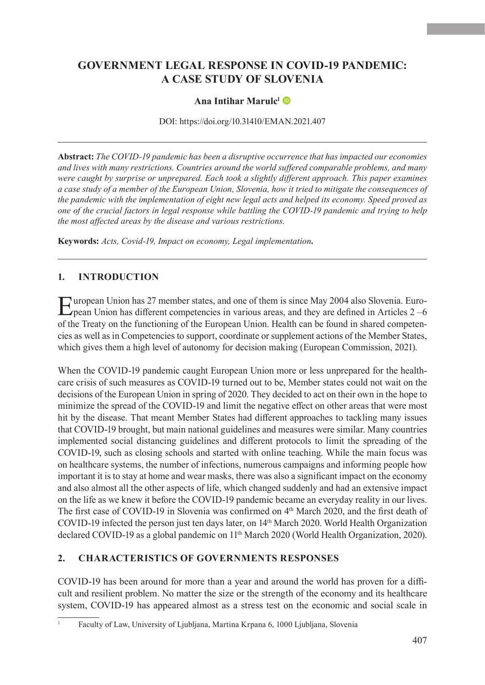# **GOVERNMENT LEGAL RESPONSE IN COVID-19 PANDEMIC: A CASE STUDY OF SLOVENIA**

### **Ana Intihar Marulc1**

DOI: https://doi.org/10.31410/EMAN.2021.407

**Abstract:** *The COVID-19 pandemic has been a disruptive occurrence that has impacted our economies and lives with many restrictions. Countries around the world suffered comparable problems, and many were caught by surprise or unprepared. Each took a slightly different approach. This paper examines a case study of a member of the European Union, Slovenia, how it tried to mitigate the consequences of the pandemic with the implementation of eight new legal acts and helped its economy. Speed proved as one of the crucial factors in legal response while battling the COVID-19 pandemic and trying to help the most affected areas by the disease and various restrictions.* 

**Keywords:** *Acts, Covid-19, Impact on economy, Legal implementation.*

## **1. INTRODUCTION**

European Union has 27 member states, and one of them is since May 2004 also Slovenia. Euro-pean Union has different competencies in various areas, and they are defined in Articles 2 –6 of the Treaty on the functioning of the European Union. Health can be found in shared competencies as well as in Competencies to support, coordinate or supplement actions of the Member States, which gives them a high level of autonomy for decision making (European Commission, 2021).

When the COVID-19 pandemic caught European Union more or less unprepared for the healthcare crisis of such measures as COVID-19 turned out to be, Member states could not wait on the decisions of the European Union in spring of 2020. They decided to act on their own in the hope to minimize the spread of the COVID-19 and limit the negative effect on other areas that were most hit by the disease. That meant Member States had different approaches to tackling many issues that COVID-19 brought, but main national guidelines and measures were similar. Many countries implemented social distancing guidelines and different protocols to limit the spreading of the COVID-19, such as closing schools and started with online teaching. While the main focus was on healthcare systems, the number of infections, numerous campaigns and informing people how important it is to stay at home and wear masks, there was also a significant impact on the economy and also almost all the other aspects of life, which changed suddenly and had an extensive impact on the life as we knew it before the COVID-19 pandemic became an everyday reality in our lives. The first case of COVID-19 in Slovenia was confirmed on 4th March 2020, and the first death of COVID-19 infected the person just ten days later, on 14th March 2020. World Health Organization declared COVID-19 as a global pandemic on 11<sup>th</sup> March 2020 (World Health Organization, 2020).

#### **2. CHARACTERISTICS OF GOVERNMENTS RESPONSES**

COVID-19 has been around for more than a year and around the world has proven for a difficult and resilient problem. No matter the size or the strength of the economy and its healthcare system, COVID-19 has appeared almost as a stress test on the economic and social scale in

<sup>1</sup> Faculty of Law, University of Ljubljana, Martina Krpana 6, 1000 Ljubljana, Slovenia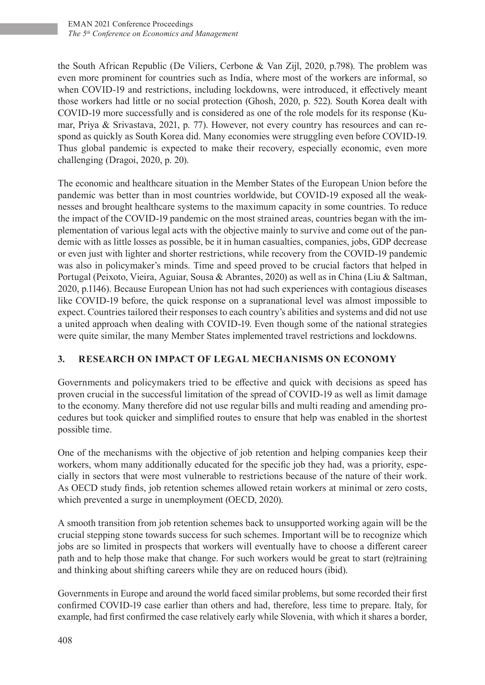the South African Republic (De Viliers, Cerbone & Van Zijl, 2020, p.798). The problem was even more prominent for countries such as India, where most of the workers are informal, so when COVID-19 and restrictions, including lockdowns, were introduced, it effectively meant those workers had little or no social protection (Ghosh, 2020, p. 522). South Korea dealt with COVID-19 more successfully and is considered as one of the role models for its response (Kumar, Priya & Srivastava, 2021, p. 77). However, not every country has resources and can respond as quickly as South Korea did. Many economies were struggling even before COVID-19. Thus global pandemic is expected to make their recovery, especially economic, even more challenging (Dragoi, 2020, p. 20).

The economic and healthcare situation in the Member States of the European Union before the pandemic was better than in most countries worldwide, but COVID-19 exposed all the weaknesses and brought healthcare systems to the maximum capacity in some countries. To reduce the impact of the COVID-19 pandemic on the most strained areas, countries began with the implementation of various legal acts with the objective mainly to survive and come out of the pandemic with as little losses as possible, be it in human casualties, companies, jobs, GDP decrease or even just with lighter and shorter restrictions, while recovery from the COVID-19 pandemic was also in policymaker's minds. Time and speed proved to be crucial factors that helped in Portugal (Peixoto, Vieira, Aguiar, Sousa & Abrantes, 2020) as well as in China (Liu & Saltman, 2020, p.1146). Because European Union has not had such experiences with contagious diseases like COVID-19 before, the quick response on a supranational level was almost impossible to expect. Countries tailored their responses to each country's abilities and systems and did not use a united approach when dealing with COVID-19. Even though some of the national strategies were quite similar, the many Member States implemented travel restrictions and lockdowns.

## **3. RESEARCH ON IMPACT OF LEGAL MECHANISMS ON ECONOMY**

Governments and policymakers tried to be effective and quick with decisions as speed has proven crucial in the successful limitation of the spread of COVID-19 as well as limit damage to the economy. Many therefore did not use regular bills and multi reading and amending procedures but took quicker and simplified routes to ensure that help was enabled in the shortest possible time.

One of the mechanisms with the objective of job retention and helping companies keep their workers, whom many additionally educated for the specific job they had, was a priority, especially in sectors that were most vulnerable to restrictions because of the nature of their work. As OECD study finds, job retention schemes allowed retain workers at minimal or zero costs, which prevented a surge in unemployment (OECD, 2020).

A smooth transition from job retention schemes back to unsupported working again will be the crucial stepping stone towards success for such schemes. Important will be to recognize which jobs are so limited in prospects that workers will eventually have to choose a different career path and to help those make that change. For such workers would be great to start (re)training and thinking about shifting careers while they are on reduced hours (ibid).

Governments in Europe and around the world faced similar problems, but some recorded their first confirmed COVID-19 case earlier than others and had, therefore, less time to prepare. Italy, for example, had first confirmed the case relatively early while Slovenia, with which it shares a border,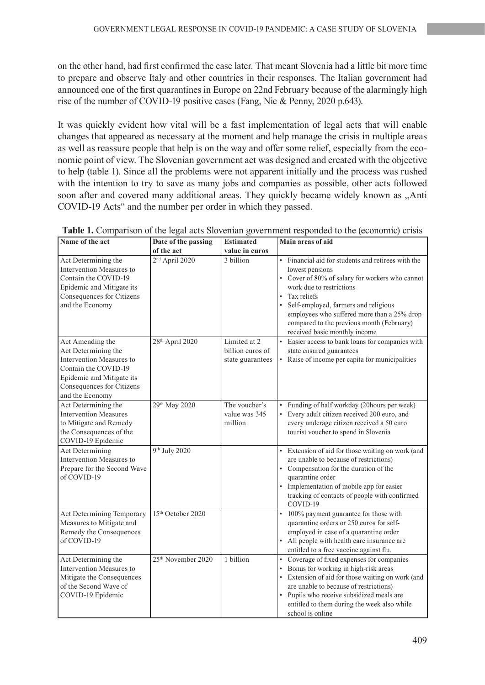on the other hand, had first confirmed the case later. That meant Slovenia had a little bit more time to prepare and observe Italy and other countries in their responses. The Italian government had announced one of the first quarantines in Europe on 22nd February because of the alarmingly high rise of the number of COVID-19 positive cases (Fang, Nie & Penny, 2020 p.643).

It was quickly evident how vital will be a fast implementation of legal acts that will enable changes that appeared as necessary at the moment and help manage the crisis in multiple areas as well as reassure people that help is on the way and offer some relief, especially from the economic point of view. The Slovenian government act was designed and created with the objective to help (table 1). Since all the problems were not apparent initially and the process was rushed with the intention to try to save as many jobs and companies as possible, other acts followed soon after and covered many additional areas. They quickly became widely known as "Anti COVID-19 Acts" and the number per order in which they passed.

| Name of the act                                                                                                                                                          | Date of the passing            | <b>Estimated</b>                                     | <b>Main areas of aid</b>                                                                                                                                                                                                                                                                                                                 |  |  |
|--------------------------------------------------------------------------------------------------------------------------------------------------------------------------|--------------------------------|------------------------------------------------------|------------------------------------------------------------------------------------------------------------------------------------------------------------------------------------------------------------------------------------------------------------------------------------------------------------------------------------------|--|--|
|                                                                                                                                                                          | of the act                     | value in euros                                       |                                                                                                                                                                                                                                                                                                                                          |  |  |
| Act Determining the<br>Intervention Measures to<br>Contain the COVID-19<br>Epidemic and Mitigate its<br>Consequences for Citizens<br>and the Economy                     | 2 <sup>nd</sup> April 2020     | 3 billion                                            | • Financial aid for students and retirees with the<br>lowest pensions<br>• Cover of 80% of salary for workers who cannot<br>work due to restrictions<br>Tax reliefs<br>Self-employed, farmers and religious<br>employees who suffered more than a 25% drop<br>compared to the previous month (February)<br>received basic monthly income |  |  |
| Act Amending the<br>Act Determining the<br>Intervention Measures to<br>Contain the COVID-19<br>Epidemic and Mitigate its<br>Consequences for Citizens<br>and the Economy | 28 <sup>th</sup> April 2020    | Limited at 2<br>billion euros of<br>state guarantees | • Easier access to bank loans for companies with<br>state ensured guarantees<br>• Raise of income per capita for municipalities                                                                                                                                                                                                          |  |  |
| Act Determining the<br><b>Intervention Measures</b><br>to Mitigate and Remedy<br>the Consequences of the<br>COVID-19 Epidemic                                            | 29th May 2020                  | The voucher's<br>value was 345<br>million            | • Funding of half workday (20hours per week)<br>• Every adult citizen received 200 euro, and<br>every underage citizen received a 50 euro<br>tourist voucher to spend in Slovenia                                                                                                                                                        |  |  |
| <b>Act Determining</b><br>Intervention Measures to<br>Prepare for the Second Wave<br>of COVID-19                                                                         | 9 <sup>th</sup> July 2020      |                                                      | • Extension of aid for those waiting on work (and<br>are unable to because of restrictions)<br>• Compensation for the duration of the<br>quarantine order<br>Implementation of mobile app for easier<br>tracking of contacts of people with confirmed<br>COVID-19                                                                        |  |  |
| Act Determining Temporary<br>Measures to Mitigate and<br>Remedy the Consequences<br>of COVID-19                                                                          | 15 <sup>th</sup> October 2020  |                                                      | 100% payment guarantee for those with<br>$\bullet$<br>quarantine orders or 250 euros for self-<br>employed in case of a quarantine order<br>• All people with health care insurance are<br>entitled to a free vaccine against flu.                                                                                                       |  |  |
| Act Determining the<br>Intervention Measures to<br>Mitigate the Consequences<br>of the Second Wave of<br>COVID-19 Epidemic                                               | 25 <sup>th</sup> November 2020 | 1 billion                                            | Coverage of fixed expenses for companies<br>• Bonus for working in high-risk areas<br>• Extension of aid for those waiting on work (and<br>are unable to because of restrictions)<br>• Pupils who receive subsidized meals are<br>entitled to them during the week also while<br>school is online                                        |  |  |

**Table 1.** Comparison of the legal acts Slovenian government responded to the (economic) crisis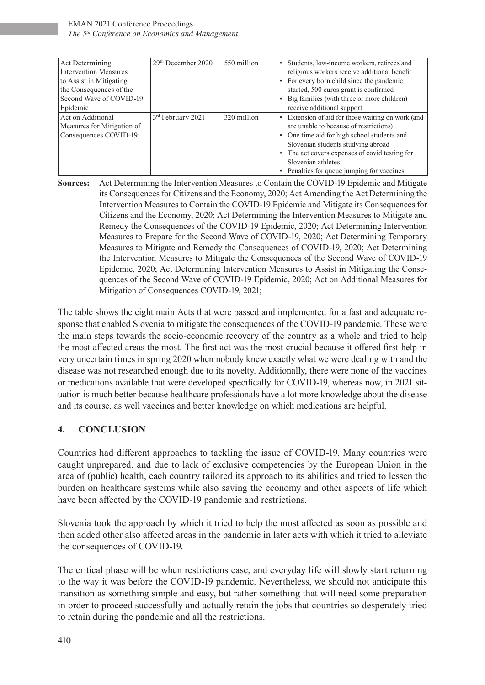| Act Determining              | 29th December 2020 | 550 million | Students, low-income workers, retirees and |                                                 |
|------------------------------|--------------------|-------------|--------------------------------------------|-------------------------------------------------|
| <b>Intervention Measures</b> |                    |             |                                            | religious workers receive additional benefit    |
| to Assist in Mitigating      |                    |             |                                            | • For every born child since the pandemic       |
| the Consequences of the      |                    |             |                                            | started, 500 euros grant is confirmed           |
| Second Wave of COVID-19      |                    |             |                                            | Big families (with three or more children)      |
| Epidemic                     |                    |             | receive additional support                 |                                                 |
| Act on Additional            | 3rd February 2021  | 320 million |                                            | Extension of aid for those waiting on work (and |
| Measures for Mitigation of   |                    |             |                                            | are unable to because of restrictions)          |
| Consequences COVID-19        |                    |             | One time aid for high school students and  |                                                 |
|                              |                    |             | Slovenian students studying abroad         |                                                 |
|                              |                    |             |                                            | The act covers expenses of covid testing for    |
|                              |                    |             | Slovenian athletes                         |                                                 |
|                              |                    |             |                                            | Penalties for queue jumping for vaccines        |

**Sources:** Act Determining the Intervention Measures to Contain the COVID-19 Epidemic and Mitigate its Consequences for Citizens and the Economy, 2020; Act Amending the Act Determining the Intervention Measures to Contain the COVID-19 Epidemic and Mitigate its Consequences for Citizens and the Economy, 2020; Act Determining the Intervention Measures to Mitigate and Remedy the Consequences of the COVID-19 Epidemic, 2020; Act Determining Intervention Measures to Prepare for the Second Wave of COVID-19, 2020; Act Determining Temporary Measures to Mitigate and Remedy the Consequences of COVID-19, 2020; Act Determining the Intervention Measures to Mitigate the Consequences of the Second Wave of COVID-19 Epidemic, 2020; Act Determining Intervention Measures to Assist in Mitigating the Consequences of the Second Wave of COVID-19 Epidemic, 2020; Act on Additional Measures for Mitigation of Consequences COVID-19, 2021;

The table shows the eight main Acts that were passed and implemented for a fast and adequate response that enabled Slovenia to mitigate the consequences of the COVID-19 pandemic. These were the main steps towards the socio-economic recovery of the country as a whole and tried to help the most affected areas the most. The first act was the most crucial because it offered first help in very uncertain times in spring 2020 when nobody knew exactly what we were dealing with and the disease was not researched enough due to its novelty. Additionally, there were none of the vaccines or medications available that were developed specifically for COVID-19, whereas now, in 2021 situation is much better because healthcare professionals have a lot more knowledge about the disease and its course, as well vaccines and better knowledge on which medications are helpful.

## **4. CONCLUSION**

Countries had different approaches to tackling the issue of COVID-19. Many countries were caught unprepared, and due to lack of exclusive competencies by the European Union in the area of (public) health, each country tailored its approach to its abilities and tried to lessen the burden on healthcare systems while also saving the economy and other aspects of life which have been affected by the COVID-19 pandemic and restrictions.

Slovenia took the approach by which it tried to help the most affected as soon as possible and then added other also affected areas in the pandemic in later acts with which it tried to alleviate the consequences of COVID-19.

The critical phase will be when restrictions ease, and everyday life will slowly start returning to the way it was before the COVID-19 pandemic. Nevertheless, we should not anticipate this transition as something simple and easy, but rather something that will need some preparation in order to proceed successfully and actually retain the jobs that countries so desperately tried to retain during the pandemic and all the restrictions.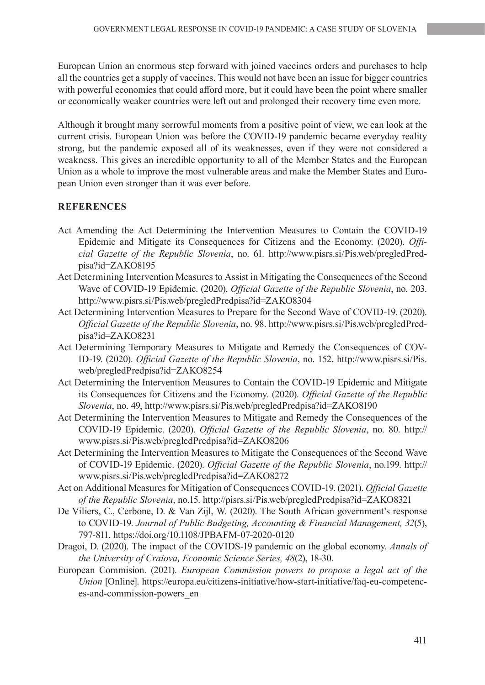European Union an enormous step forward with joined vaccines orders and purchases to help all the countries get a supply of vaccines. This would not have been an issue for bigger countries with powerful economies that could afford more, but it could have been the point where smaller or economically weaker countries were left out and prolonged their recovery time even more.

Although it brought many sorrowful moments from a positive point of view, we can look at the current crisis. European Union was before the COVID-19 pandemic became everyday reality strong, but the pandemic exposed all of its weaknesses, even if they were not considered a weakness. This gives an incredible opportunity to all of the Member States and the European Union as a whole to improve the most vulnerable areas and make the Member States and European Union even stronger than it was ever before.

#### **REFERENCES**

- Act Amending the Act Determining the Intervention Measures to Contain the COVID-19 Epidemic and Mitigate its Consequences for Citizens and the Economy. (2020). *Official Gazette of the Republic Slovenia*, no. 61. http://www.pisrs.si/Pis.web/pregledPredpisa?id=ZAKO8195
- Act Determining Intervention Measures to Assist in Mitigating the Consequences of the Second Wave of COVID-19 Epidemic. (2020). *Official Gazette of the Republic Slovenia*, no. 203. http://www.pisrs.si/Pis.web/pregledPredpisa?id=ZAKO8304
- Act Determining Intervention Measures to Prepare for the Second Wave of COVID-19. (2020). *Official Gazette of the Republic Slovenia*, no. 98. http://www.pisrs.si/Pis.web/pregledPredpisa?id=ZAKO8231
- Act Determining Temporary Measures to Mitigate and Remedy the Consequences of COV-ID-19. (2020). *Official Gazette of the Republic Slovenia*, no. 152. http://www.pisrs.si/Pis. web/pregledPredpisa?id=ZAKO8254
- Act Determining the Intervention Measures to Contain the COVID-19 Epidemic and Mitigate its Consequences for Citizens and the Economy. (2020). *Official Gazette of the Republic Slovenia*, no. 49, http://www.pisrs.si/Pis.web/pregledPredpisa?id=ZAKO8190
- Act Determining the Intervention Measures to Mitigate and Remedy the Consequences of the COVID-19 Epidemic. (2020). *Official Gazette of the Republic Slovenia*, no. 80. http:// www.pisrs.si/Pis.web/pregledPredpisa?id=ZAKO8206
- Act Determining the Intervention Measures to Mitigate the Consequences of the Second Wave of COVID-19 Epidemic. (2020). *Official Gazette of the Republic Slovenia*, no.199. http:// www.pisrs.si/Pis.web/pregledPredpisa?id=ZAKO8272
- Act on Additional Measures for Mitigation of Consequences COVID-19. (2021). *Official Gazette of the Republic Slovenia*, no.15. http://pisrs.si/Pis.web/pregledPredpisa?id=ZAKO8321
- De Viliers, C., Cerbone, D. & Van Zijl, W. (2020). The South African government's response to COVID-19. *Journal of Public Budgeting, Accounting & Financial Management, 32*(5), 797-811. https://doi.org/10.1108/JPBAFM-07-2020-0120
- Dragoi, D. (2020). The impact of the COVIDS-19 pandemic on the global economy. *Annals of the University of Craiova, Economic Science Series, 48*(2), 18-30.
- European Commision. (2021). *European Commission powers to propose a legal act of the Union* [Online]. https://europa.eu/citizens-initiative/how-start-initiative/faq-eu-competences-and-commission-powers\_en